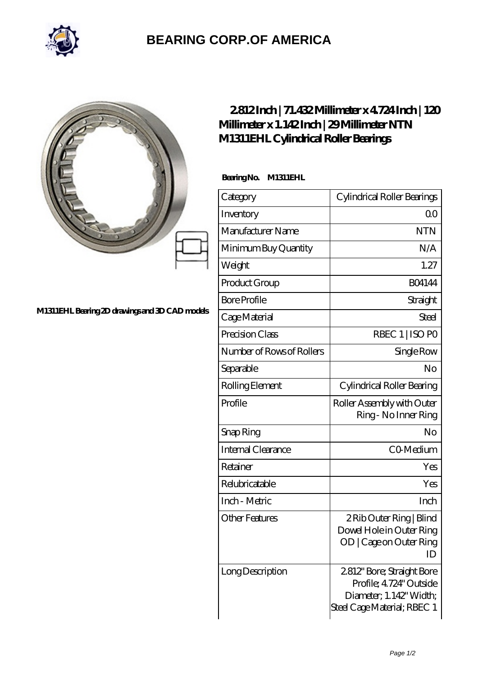

## **[BEARING CORP.OF AMERICA](https://m.bluemondayreview.com)**

|                                                | 2812Inch   71.432Millimeter x 4724Inch   120<br>Millimeter x 1.142Inch   29Millimeter NTN<br>M1311EHL Cylindrical Roller Bearings |                                                                                                                |
|------------------------------------------------|-----------------------------------------------------------------------------------------------------------------------------------|----------------------------------------------------------------------------------------------------------------|
|                                                | BearingNo.<br>M1311EHL                                                                                                            |                                                                                                                |
|                                                | Category                                                                                                                          | Cylindrical Roller Bearings                                                                                    |
|                                                | Inventory                                                                                                                         | 0 <sup>0</sup>                                                                                                 |
| M1311EHL Bearing 2D drawings and 3D CAD models | Manufacturer Name                                                                                                                 | <b>NTN</b>                                                                                                     |
|                                                | Minimum Buy Quantity                                                                                                              | N/A                                                                                                            |
|                                                | Weight                                                                                                                            | 1.27                                                                                                           |
|                                                | Product Group                                                                                                                     | <b>BO4144</b>                                                                                                  |
|                                                | <b>Bore Profile</b>                                                                                                               | Straight                                                                                                       |
|                                                | Cage Material                                                                                                                     | <b>Steel</b>                                                                                                   |
|                                                | Precision Class                                                                                                                   | RBEC 1   ISO PO                                                                                                |
|                                                | Number of Rows of Rollers                                                                                                         | Single Row                                                                                                     |
|                                                | Separable                                                                                                                         | No                                                                                                             |
|                                                | Rolling Element                                                                                                                   | Cylindrical Roller Bearing                                                                                     |
|                                                | Profile                                                                                                                           | Roller Assembly with Outer<br>Ring - No Inner Ring                                                             |
|                                                | Snap Ring                                                                                                                         | No                                                                                                             |
|                                                | Internal Clearance                                                                                                                | CO-Medium                                                                                                      |
|                                                | Retainer                                                                                                                          | Yes                                                                                                            |
|                                                | Relubricatable                                                                                                                    | Yes                                                                                                            |
|                                                | Inch - Metric                                                                                                                     | Inch                                                                                                           |
|                                                | <b>Other Features</b>                                                                                                             | 2 Rib Outer Ring   Blind<br>Dowel Hole in Outer Ring<br>OD   Cage on Outer Ring<br>ID                          |
|                                                | Long Description                                                                                                                  | 2812" Bore; Straight Bore<br>Profile; 4.724" Outside<br>Diameter, 1.142' Width;<br>Steel Cage Material; RBEC 1 |